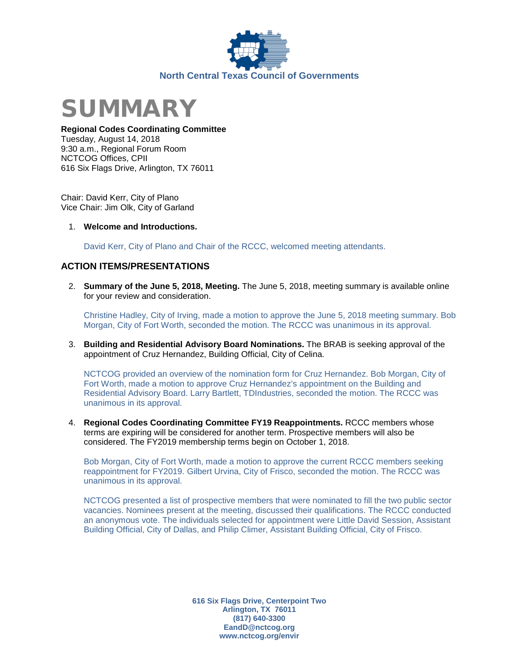



### **Regional Codes Coordinating Committee**

Tuesday, August 14, 2018 9:30 a.m., Regional Forum Room NCTCOG Offices, CPII 616 Six Flags Drive, Arlington, TX 76011

Chair: David Kerr, City of Plano Vice Chair: Jim Olk, City of Garland

1. **Welcome and Introductions.**

David Kerr, City of Plano and Chair of the RCCC, welcomed meeting attendants.

## **ACTION ITEMS/PRESENTATIONS**

2. **Summary of the June 5, 2018, Meeting.** The June 5, 2018, meeting summary is available online for your review and consideration.

Christine Hadley, City of Irving, made a motion to approve the June 5, 2018 meeting summary. Bob Morgan, City of Fort Worth, seconded the motion. The RCCC was unanimous in its approval.

3. **Building and Residential Advisory Board Nominations.** The BRAB is seeking approval of the appointment of Cruz Hernandez, Building Official, City of Celina.

NCTCOG provided an overview of the nomination form for Cruz Hernandez. Bob Morgan, City of Fort Worth, made a motion to approve Cruz Hernandez's appointment on the Building and Residential Advisory Board. Larry Bartlett, TDIndustries, seconded the motion. The RCCC was unanimous in its approval.

4. **Regional Codes Coordinating Committee FY19 Reappointments.** RCCC members whose terms are expiring will be considered for another term. Prospective members will also be considered. The FY2019 membership terms begin on October 1, 2018.

Bob Morgan, City of Fort Worth, made a motion to approve the current RCCC members seeking reappointment for FY2019. Gilbert Urvina, City of Frisco, seconded the motion. The RCCC was unanimous in its approval.

NCTCOG presented a list of prospective members that were nominated to fill the two public sector vacancies. Nominees present at the meeting, discussed their qualifications. The RCCC conducted an anonymous vote. The individuals selected for appointment were Little David Session, Assistant Building Official, City of Dallas, and Philip Climer, Assistant Building Official, City of Frisco.

> **616 Six Flags Drive, Centerpoint Two Arlington, TX 76011 (817) 640-3300 EandD@nctcog.org www.nctcog.org/envir**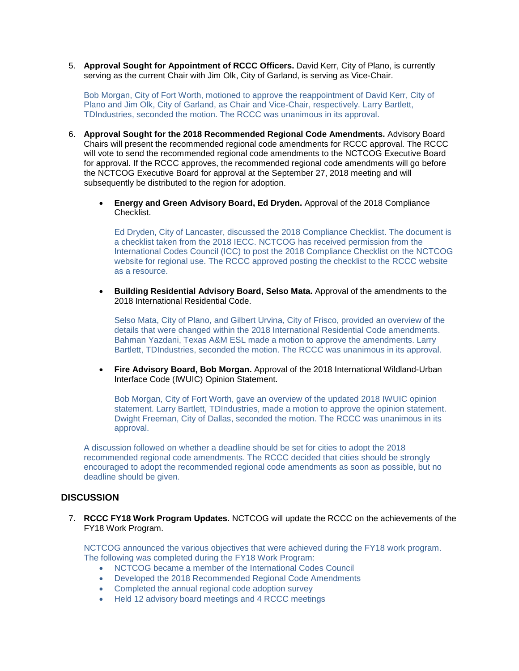5. **Approval Sought for Appointment of RCCC Officers.** David Kerr, City of Plano, is currently serving as the current Chair with Jim Olk, City of Garland, is serving as Vice-Chair.

Bob Morgan, City of Fort Worth, motioned to approve the reappointment of David Kerr, City of Plano and Jim Olk, City of Garland, as Chair and Vice-Chair, respectively. Larry Bartlett, TDIndustries, seconded the motion. The RCCC was unanimous in its approval.

- 6. **Approval Sought for the 2018 Recommended Regional Code Amendments.** Advisory Board Chairs will present the recommended regional code amendments for RCCC approval. The RCCC will vote to send the recommended regional code amendments to the NCTCOG Executive Board for approval. If the RCCC approves, the recommended regional code amendments will go before the NCTCOG Executive Board for approval at the September 27, 2018 meeting and will subsequently be distributed to the region for adoption.
	- **Energy and Green Advisory Board, Ed Dryden.** Approval of the 2018 Compliance **Checklist**

Ed Dryden, City of Lancaster, discussed the 2018 Compliance Checklist. The document is a checklist taken from the 2018 IECC. NCTCOG has received permission from the International Codes Council (ICC) to post the 2018 Compliance Checklist on the NCTCOG website for regional use. The RCCC approved posting the checklist to the RCCC website as a resource.

• **Building Residential Advisory Board, Selso Mata.** Approval of the amendments to the 2018 International Residential Code.

Selso Mata, City of Plano, and Gilbert Urvina, City of Frisco, provided an overview of the details that were changed within the 2018 International Residential Code amendments. Bahman Yazdani, Texas A&M ESL made a motion to approve the amendments. Larry Bartlett, TDIndustries, seconded the motion. The RCCC was unanimous in its approval.

• **Fire Advisory Board, Bob Morgan.** Approval of the 2018 International Wildland-Urban Interface Code (IWUIC) Opinion Statement.

Bob Morgan, City of Fort Worth, gave an overview of the updated 2018 IWUIC opinion statement. Larry Bartlett, TDIndustries, made a motion to approve the opinion statement. Dwight Freeman, City of Dallas, seconded the motion. The RCCC was unanimous in its approval.

A discussion followed on whether a deadline should be set for cities to adopt the 2018 recommended regional code amendments. The RCCC decided that cities should be strongly encouraged to adopt the recommended regional code amendments as soon as possible, but no deadline should be given.

### **DISCUSSION**

7. **RCCC FY18 Work Program Updates.** NCTCOG will update the RCCC on the achievements of the FY18 Work Program.

NCTCOG announced the various objectives that were achieved during the FY18 work program. The following was completed during the FY18 Work Program:

- NCTCOG became a member of the International Codes Council
- Developed the 2018 Recommended Regional Code Amendments
- Completed the annual regional code adoption survey
- Held 12 advisory board meetings and 4 RCCC meetings